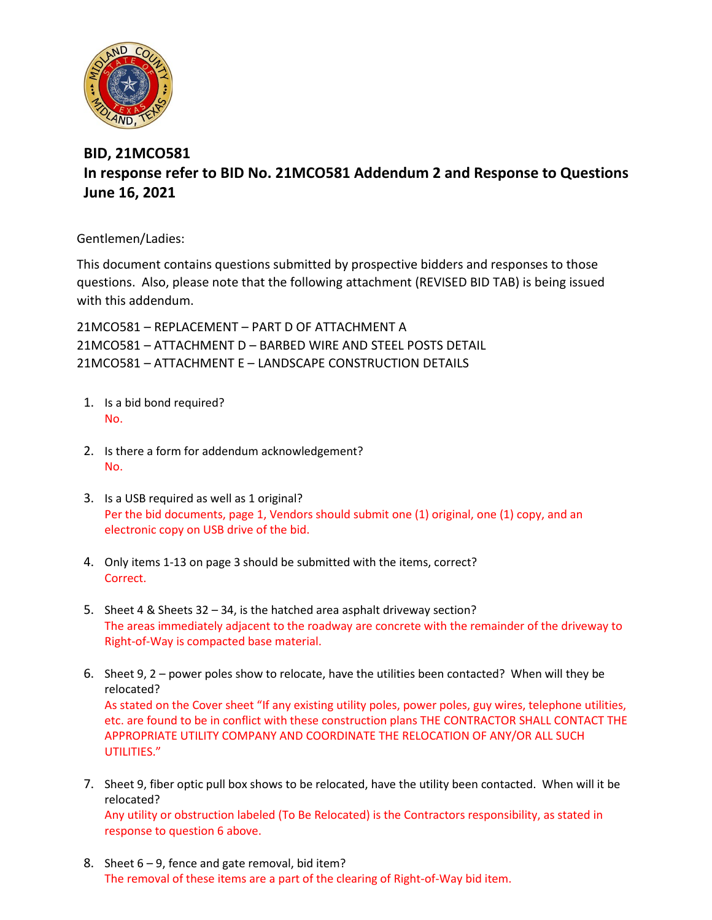

## **BID, 21MCO581 In response refer to BID No. 21MCO581 Addendum 2 and Response to Questions June 16, 2021**

Gentlemen/Ladies:

This document contains questions submitted by prospective bidders and responses to those questions. Also, please note that the following attachment (REVISED BID TAB) is being issued with this addendum.

21MCO581 – REPLACEMENT – PART D OF ATTACHMENT A 21MCO581 – ATTACHMENT D – BARBED WIRE AND STEEL POSTS DETAIL 21MCO581 – ATTACHMENT E – LANDSCAPE CONSTRUCTION DETAILS

- 1. Is a bid bond required? No.
- 2. Is there a form for addendum acknowledgement? No.
- 3. Is a USB required as well as 1 original? Per the bid documents, page 1, Vendors should submit one (1) original, one (1) copy, and an electronic copy on USB drive of the bid.
- 4. Only items 1-13 on page 3 should be submitted with the items, correct? Correct.
- 5. Sheet 4 & Sheets 32 34, is the hatched area asphalt driveway section? The areas immediately adjacent to the roadway are concrete with the remainder of the driveway to Right-of-Way is compacted base material.
- 6. Sheet 9, 2 power poles show to relocate, have the utilities been contacted? When will they be relocated? As stated on the Cover sheet "If any existing utility poles, power poles, guy wires, telephone utilities, etc. are found to be in conflict with these construction plans THE CONTRACTOR SHALL CONTACT THE APPROPRIATE UTILITY COMPANY AND COORDINATE THE RELOCATION OF ANY/OR ALL SUCH UTILITIES."
- 7. Sheet 9, fiber optic pull box shows to be relocated, have the utility been contacted. When will it be relocated? Any utility or obstruction labeled (To Be Relocated) is the Contractors responsibility, as stated in response to question 6 above.
- 8. Sheet 6 9, fence and gate removal, bid item? The removal of these items are a part of the clearing of Right-of-Way bid item.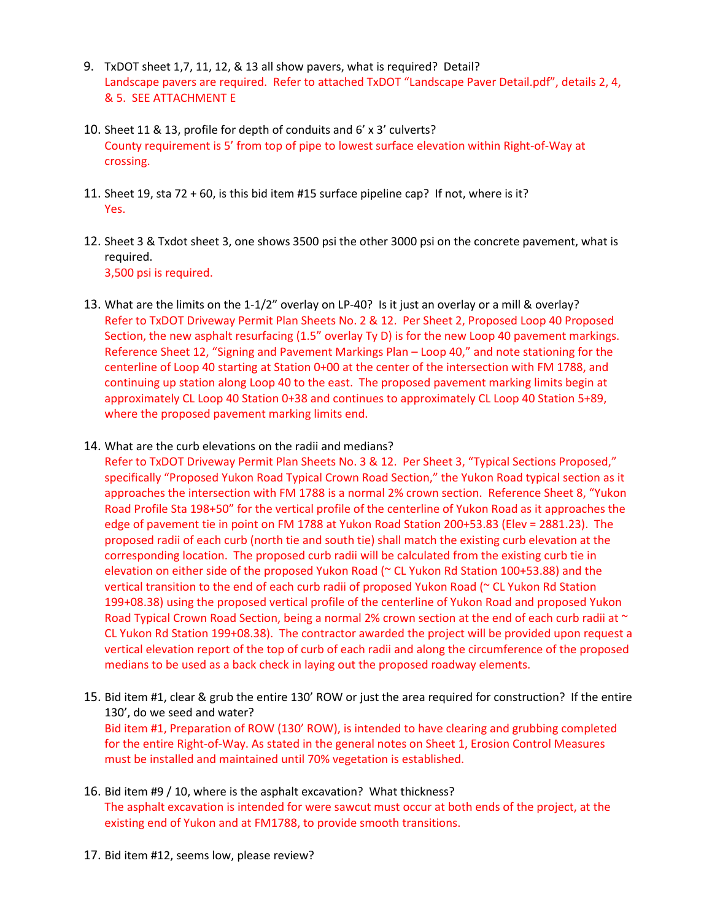- 9. TxDOT sheet 1,7, 11, 12, & 13 all show pavers, what is required? Detail? Landscape pavers are required. Refer to attached TxDOT "Landscape Paver Detail.pdf", details 2, 4, & 5. SEE ATTACHMENT E
- 10. Sheet 11 & 13, profile for depth of conduits and 6' x 3' culverts? County requirement is 5' from top of pipe to lowest surface elevation within Right-of-Way at crossing.
- 11. Sheet 19, sta 72 + 60, is this bid item #15 surface pipeline cap? If not, where is it? Yes.
- 12. Sheet 3 & Txdot sheet 3, one shows 3500 psi the other 3000 psi on the concrete pavement, what is required. 3,500 psi is required.
- 13. What are the limits on the 1-1/2" overlay on LP-40? Is it just an overlay or a mill & overlay? Refer to TxDOT Driveway Permit Plan Sheets No. 2 & 12. Per Sheet 2, Proposed Loop 40 Proposed Section, the new asphalt resurfacing (1.5" overlay Ty D) is for the new Loop 40 pavement markings. Reference Sheet 12, "Signing and Pavement Markings Plan – Loop 40," and note stationing for the centerline of Loop 40 starting at Station 0+00 at the center of the intersection with FM 1788, and continuing up station along Loop 40 to the east. The proposed pavement marking limits begin at approximately CL Loop 40 Station 0+38 and continues to approximately CL Loop 40 Station 5+89, where the proposed pavement marking limits end.
- 14. What are the curb elevations on the radii and medians?

Refer to TxDOT Driveway Permit Plan Sheets No. 3 & 12. Per Sheet 3, "Typical Sections Proposed," specifically "Proposed Yukon Road Typical Crown Road Section," the Yukon Road typical section as it approaches the intersection with FM 1788 is a normal 2% crown section. Reference Sheet 8, "Yukon Road Profile Sta 198+50" for the vertical profile of the centerline of Yukon Road as it approaches the edge of pavement tie in point on FM 1788 at Yukon Road Station 200+53.83 (Elev = 2881.23). The proposed radii of each curb (north tie and south tie) shall match the existing curb elevation at the corresponding location. The proposed curb radii will be calculated from the existing curb tie in elevation on either side of the proposed Yukon Road (~ CL Yukon Rd Station 100+53.88) and the vertical transition to the end of each curb radii of proposed Yukon Road (~ CL Yukon Rd Station 199+08.38) using the proposed vertical profile of the centerline of Yukon Road and proposed Yukon Road Typical Crown Road Section, being a normal 2% crown section at the end of each curb radii at  $\sim$ CL Yukon Rd Station 199+08.38). The contractor awarded the project will be provided upon request a vertical elevation report of the top of curb of each radii and along the circumference of the proposed medians to be used as a back check in laying out the proposed roadway elements.

- 15. Bid item #1, clear & grub the entire 130' ROW or just the area required for construction? If the entire 130', do we seed and water? Bid item #1, Preparation of ROW (130' ROW), is intended to have clearing and grubbing completed for the entire Right-of-Way. As stated in the general notes on Sheet 1, Erosion Control Measures must be installed and maintained until 70% vegetation is established.
- 16. Bid item #9 / 10, where is the asphalt excavation? What thickness? The asphalt excavation is intended for were sawcut must occur at both ends of the project, at the existing end of Yukon and at FM1788, to provide smooth transitions.
- 17. Bid item #12, seems low, please review?